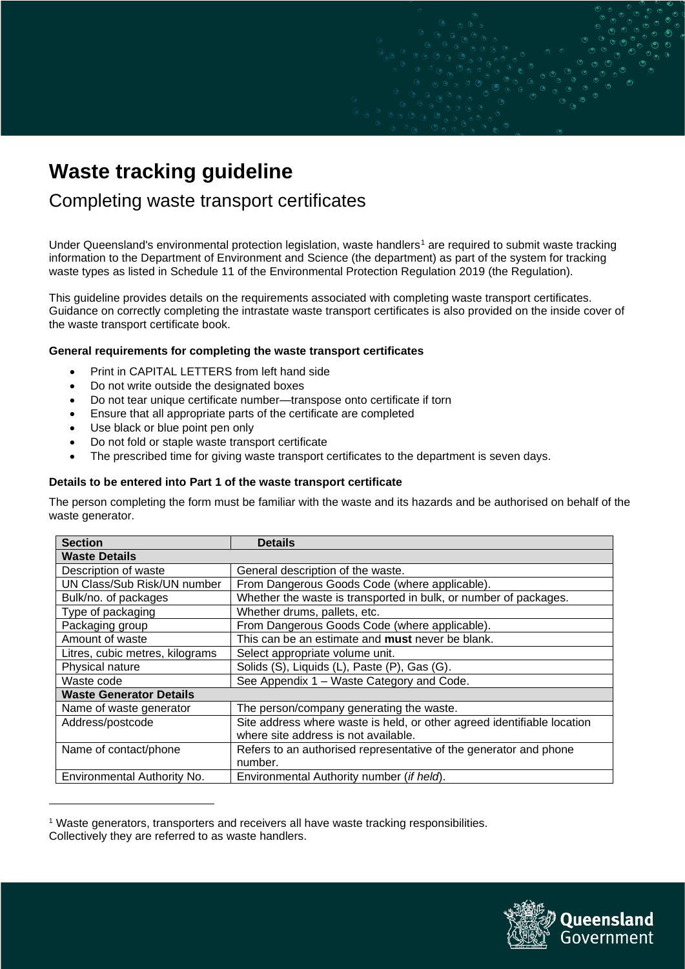# **Waste tracking guideline**

## Completing waste transport certificates

Under Queensland's environmental protection legislation, waste handlers<sup>1</sup> are required to submit waste tracking information to the Department of Environment and Science (the department) as part of the system for tracking waste types as listed in Schedule 11 of the Environmental Protection Regulation 2019 (the Regulation).

This guideline provides details on the requirements associated with completing waste transport certificates. Guidance on correctly completing the intrastate waste transport certificates is also provided on the inside cover of the waste transport certificate book.

## **General requirements for completing the waste transport certificates**

- Print in CAPITAL LETTERS from left hand side
- Do not write outside the designated boxes
- Do not tear unique certificate number—transpose onto certificate if torn
- Ensure that all appropriate parts of the certificate are completed
- Use black or blue point pen only
- Do not fold or staple waste transport certificate
- The prescribed time for giving waste transport certificates to the department is seven days.

## **Details to be entered into Part 1 of the waste transport certificate**

The person completing the form must be familiar with the waste and its hazards and be authorised on behalf of the waste generator.

| <b>Section</b>                  | <b>Details</b>                                                          |
|---------------------------------|-------------------------------------------------------------------------|
| <b>Waste Details</b>            |                                                                         |
| Description of waste            | General description of the waste.                                       |
| UN Class/Sub Risk/UN number     | From Dangerous Goods Code (where applicable).                           |
| Bulk/no. of packages            | Whether the waste is transported in bulk, or number of packages.        |
| Type of packaging               | Whether drums, pallets, etc.                                            |
| Packaging group                 | From Dangerous Goods Code (where applicable).                           |
| Amount of waste                 | This can be an estimate and <b>must</b> never be blank.                 |
| Litres, cubic metres, kilograms | Select appropriate volume unit.                                         |
| Physical nature                 | Solids (S), Liquids (L), Paste (P), Gas (G).                            |
| Waste code                      | See Appendix 1 - Waste Category and Code.                               |
| <b>Waste Generator Details</b>  |                                                                         |
| Name of waste generator         | The person/company generating the waste.                                |
| Address/postcode                | Site address where waste is held, or other agreed identifiable location |
|                                 | where site address is not available.                                    |
| Name of contact/phone           | Refers to an authorised representative of the generator and phone       |
|                                 | number.                                                                 |
| Environmental Authority No.     | Environmental Authority number (if held).                               |

<sup>1</sup> Waste generators, transporters and receivers all have waste tracking responsibilities. Collectively they are referred to as waste handlers.

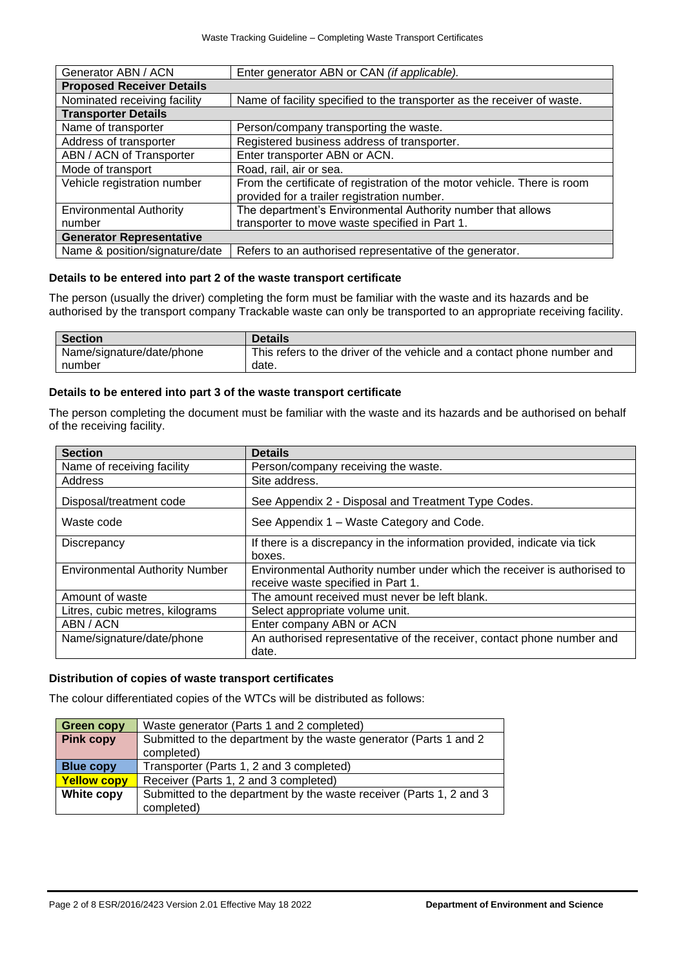| Generator ABN / ACN              | Enter generator ABN or CAN (if applicable).                              |  |
|----------------------------------|--------------------------------------------------------------------------|--|
| <b>Proposed Receiver Details</b> |                                                                          |  |
| Nominated receiving facility     | Name of facility specified to the transporter as the receiver of waste.  |  |
| <b>Transporter Details</b>       |                                                                          |  |
| Name of transporter              | Person/company transporting the waste.                                   |  |
| Address of transporter           | Registered business address of transporter.                              |  |
| ABN / ACN of Transporter         | Enter transporter ABN or ACN.                                            |  |
| Mode of transport                | Road, rail, air or sea.                                                  |  |
| Vehicle registration number      | From the certificate of registration of the motor vehicle. There is room |  |
|                                  | provided for a trailer registration number.                              |  |
| <b>Environmental Authority</b>   | The department's Environmental Authority number that allows              |  |
| number                           | transporter to move waste specified in Part 1.                           |  |
| <b>Generator Representative</b>  |                                                                          |  |
| Name & position/signature/date   | Refers to an authorised representative of the generator.                 |  |

#### **Details to be entered into part 2 of the waste transport certificate**

The person (usually the driver) completing the form must be familiar with the waste and its hazards and be authorised by the transport company Trackable waste can only be transported to an appropriate receiving facility.

| <b>Section</b>            | <b>Details</b>                                                          |
|---------------------------|-------------------------------------------------------------------------|
| Name/signature/date/phone | This refers to the driver of the vehicle and a contact phone number and |
| number                    | date.                                                                   |

### **Details to be entered into part 3 of the waste transport certificate**

The person completing the document must be familiar with the waste and its hazards and be authorised on behalf of the receiving facility.

| <b>Section</b>                        | <b>Details</b>                                                                                                 |
|---------------------------------------|----------------------------------------------------------------------------------------------------------------|
| Name of receiving facility            | Person/company receiving the waste.                                                                            |
| Address                               | Site address.                                                                                                  |
| Disposal/treatment code               | See Appendix 2 - Disposal and Treatment Type Codes.                                                            |
| Waste code                            | See Appendix 1 – Waste Category and Code.                                                                      |
| <b>Discrepancy</b>                    | If there is a discrepancy in the information provided, indicate via tick<br>boxes.                             |
| <b>Environmental Authority Number</b> | Environmental Authority number under which the receiver is authorised to<br>receive waste specified in Part 1. |
| Amount of waste                       | The amount received must never be left blank.                                                                  |
| Litres, cubic metres, kilograms       | Select appropriate volume unit.                                                                                |
| ABN / ACN                             | Enter company ABN or ACN                                                                                       |
| Name/signature/date/phone             | An authorised representative of the receiver, contact phone number and<br>date.                                |

## **Distribution of copies of waste transport certificates**

The colour differentiated copies of the WTCs will be distributed as follows:

| <b>Green copy</b>  | Waste generator (Parts 1 and 2 completed)                           |  |
|--------------------|---------------------------------------------------------------------|--|
| <b>Pink copy</b>   | Submitted to the department by the waste generator (Parts 1 and 2   |  |
|                    | completed)                                                          |  |
| <b>Blue copy</b>   | Transporter (Parts 1, 2 and 3 completed)                            |  |
| <b>Yellow copy</b> | Receiver (Parts 1, 2 and 3 completed)                               |  |
| White copy         | Submitted to the department by the waste receiver (Parts 1, 2 and 3 |  |
|                    | completed)                                                          |  |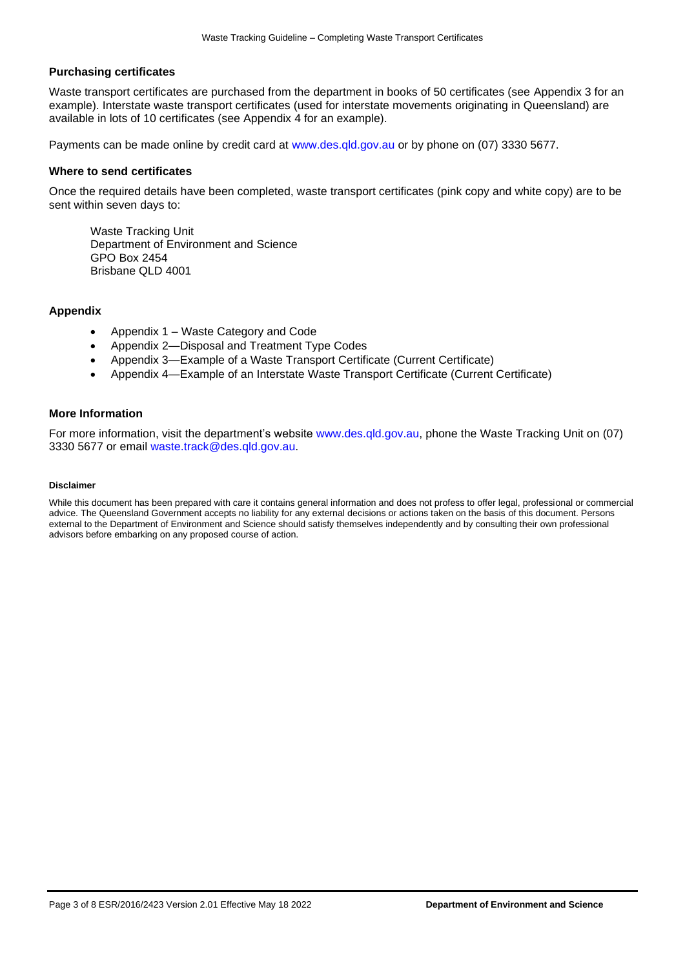#### **Purchasing certificates**

Waste transport certificates are purchased from the department in books of 50 certificates (see Appendix 3 for an example). Interstate waste transport certificates (used for interstate movements originating in Queensland) are available in lots of 10 certificates (see Appendix 4 for an example).

Payments can be made online by credit card at [www.des.qld.gov.au](http://www.des.qld.gov.au/) or by phone on (07) 3330 5677.

#### **Where to send certificates**

Once the required details have been completed, waste transport certificates (pink copy and white copy) are to be sent within seven days to:

Waste Tracking Unit Department of Environment and Science GPO Box 2454 Brisbane QLD 4001

#### **Appendix**

- Appendix 1 Waste Category and Code
- Appendix 2—Disposal and Treatment Type Codes
- Appendix 3—Example of a Waste Transport Certificate (Current Certificate)
- Appendix 4—Example of an Interstate Waste Transport Certificate (Current Certificate)

#### **More Information**

For more information, visit the department's website [www.des.qld.gov.au,](http://www.des.qld.gov.au/) phone the Waste Tracking Unit on (07) 3330 5677 or email [waste.track@des.qld.gov.au.](mailto:waste.track@des.qld.gov.au)

#### **Disclaimer**

While this document has been prepared with care it contains general information and does not profess to offer legal, professional or commercial advice. The Queensland Government accepts no liability for any external decisions or actions taken on the basis of this document. Persons external to the Department of Environment and Science should satisfy themselves independently and by consulting their own professional advisors before embarking on any proposed course of action.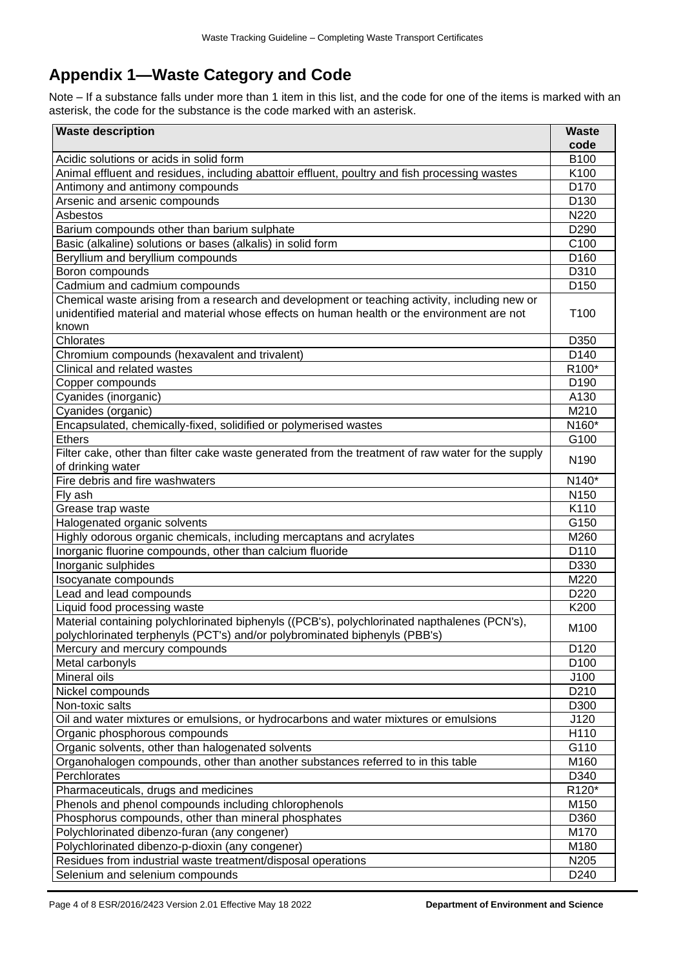## **Appendix 1—Waste Category and Code**

Note – If a substance falls under more than 1 item in this list, and the code for one of the items is marked with an asterisk, the code for the substance is the code marked with an asterisk.

| <b>Waste description</b>                                                                           | <b>Waste</b>       |  |
|----------------------------------------------------------------------------------------------------|--------------------|--|
|                                                                                                    | code               |  |
| Acidic solutions or acids in solid form                                                            | B100               |  |
| Animal effluent and residues, including abattoir effluent, poultry and fish processing wastes      | K100               |  |
| Antimony and antimony compounds                                                                    | D170               |  |
| Arsenic and arsenic compounds                                                                      | D <sub>130</sub>   |  |
| Asbestos                                                                                           | N220               |  |
| Barium compounds other than barium sulphate                                                        | D <sub>290</sub>   |  |
| Basic (alkaline) solutions or bases (alkalis) in solid form                                        | C <sub>100</sub>   |  |
| Beryllium and beryllium compounds                                                                  | D <sub>160</sub>   |  |
| Boron compounds                                                                                    | D310               |  |
| Cadmium and cadmium compounds                                                                      | D <sub>150</sub>   |  |
| Chemical waste arising from a research and development or teaching activity, including new or      |                    |  |
| unidentified material and material whose effects on human health or the environment are not        | T <sub>100</sub>   |  |
| known                                                                                              |                    |  |
| Chlorates                                                                                          | D350               |  |
| Chromium compounds (hexavalent and trivalent)                                                      | D140               |  |
| Clinical and related wastes                                                                        | R <sub>100</sub> * |  |
| Copper compounds                                                                                   | D <sub>190</sub>   |  |
| Cyanides (inorganic)                                                                               | A130               |  |
| Cyanides (organic)                                                                                 | M210               |  |
| Encapsulated, chemically-fixed, solidified or polymerised wastes                                   | N160*              |  |
| <b>Ethers</b>                                                                                      | G100               |  |
| Filter cake, other than filter cake waste generated from the treatment of raw water for the supply |                    |  |
| of drinking water                                                                                  | N <sub>190</sub>   |  |
| Fire debris and fire washwaters                                                                    | N140*              |  |
| Fly ash                                                                                            | N <sub>150</sub>   |  |
| Grease trap waste                                                                                  | K110               |  |
| Halogenated organic solvents                                                                       | G150               |  |
| Highly odorous organic chemicals, including mercaptans and acrylates                               | M260               |  |
| Inorganic fluorine compounds, other than calcium fluoride                                          | D110               |  |
| Inorganic sulphides                                                                                | D330               |  |
| Isocyanate compounds                                                                               | M220               |  |
| Lead and lead compounds                                                                            | D <sub>220</sub>   |  |
| Liquid food processing waste                                                                       | K200               |  |
| Material containing polychlorinated biphenyls ((PCB's), polychlorinated napthalenes (PCN's),       |                    |  |
| polychlorinated terphenyls (PCT's) and/or polybrominated biphenyls (PBB's)                         | M <sub>100</sub>   |  |
| Mercury and mercury compounds                                                                      | D120               |  |
| Metal carbonyls                                                                                    | D <sub>100</sub>   |  |
| Mineral oils                                                                                       | J100               |  |
| Nickel compounds                                                                                   | D210               |  |
| Non-toxic salts                                                                                    | D300               |  |
| Oil and water mixtures or emulsions, or hydrocarbons and water mixtures or emulsions               | J120               |  |
| Organic phosphorous compounds                                                                      | H110               |  |
| Organic solvents, other than halogenated solvents                                                  | G110               |  |
| Organohalogen compounds, other than another substances referred to in this table                   | M160               |  |
| Perchlorates                                                                                       | D340               |  |
| Pharmaceuticals, drugs and medicines                                                               | R120*              |  |
| Phenols and phenol compounds including chlorophenols                                               | M150               |  |
| Phosphorus compounds, other than mineral phosphates                                                | D360               |  |
| Polychlorinated dibenzo-furan (any congener)                                                       |                    |  |
| Polychlorinated dibenzo-p-dioxin (any congener)                                                    | M170<br>M180       |  |
| Residues from industrial waste treatment/disposal operations                                       | N205               |  |
| Selenium and selenium compounds                                                                    | D240               |  |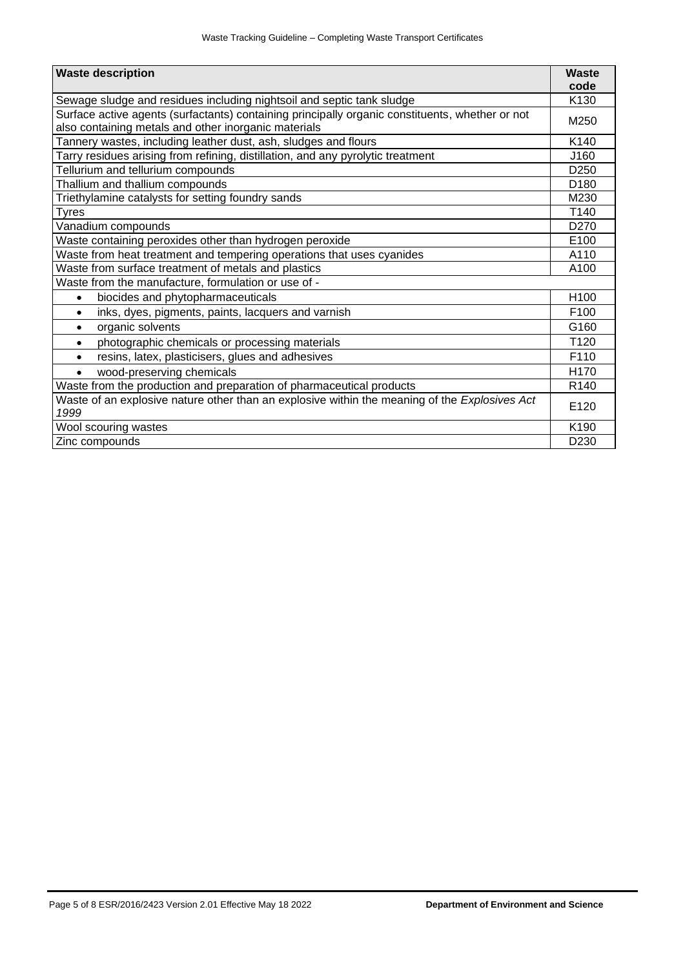| <b>Waste description</b>                                                                                                | <b>Waste</b>     |  |  |
|-------------------------------------------------------------------------------------------------------------------------|------------------|--|--|
|                                                                                                                         | code<br>K130     |  |  |
| Sewage sludge and residues including nightsoil and septic tank sludge                                                   |                  |  |  |
| Surface active agents (surfactants) containing principally organic constituents, whether or not                         |                  |  |  |
| also containing metals and other inorganic materials<br>Tannery wastes, including leather dust, ash, sludges and flours |                  |  |  |
| Tarry residues arising from refining, distillation, and any pyrolytic treatment                                         | K140<br>J160     |  |  |
| Tellurium and tellurium compounds                                                                                       | D <sub>250</sub> |  |  |
| Thallium and thallium compounds                                                                                         | D <sub>180</sub> |  |  |
|                                                                                                                         | M230             |  |  |
| Triethylamine catalysts for setting foundry sands                                                                       | T140             |  |  |
| Tyres                                                                                                                   | D <sub>270</sub> |  |  |
| Vanadium compounds                                                                                                      | E100             |  |  |
| Waste containing peroxides other than hydrogen peroxide                                                                 |                  |  |  |
| Waste from heat treatment and tempering operations that uses cyanides                                                   |                  |  |  |
| Waste from surface treatment of metals and plastics                                                                     | A100             |  |  |
| Waste from the manufacture, formulation or use of -                                                                     |                  |  |  |
| biocides and phytopharmaceuticals<br>$\bullet$                                                                          | H <sub>100</sub> |  |  |
| inks, dyes, pigments, paints, lacquers and varnish<br>$\bullet$                                                         | F <sub>100</sub> |  |  |
| organic solvents<br>$\bullet$                                                                                           | G160             |  |  |
| photographic chemicals or processing materials<br>$\bullet$                                                             | T <sub>120</sub> |  |  |
| resins, latex, plasticisers, glues and adhesives                                                                        | F110             |  |  |
| wood-preserving chemicals                                                                                               | H170             |  |  |
| Waste from the production and preparation of pharmaceutical products                                                    | R <sub>140</sub> |  |  |
| Waste of an explosive nature other than an explosive within the meaning of the Explosives Act<br>1999                   |                  |  |  |
| Wool scouring wastes                                                                                                    |                  |  |  |
| Zinc compounds                                                                                                          | D <sub>230</sub> |  |  |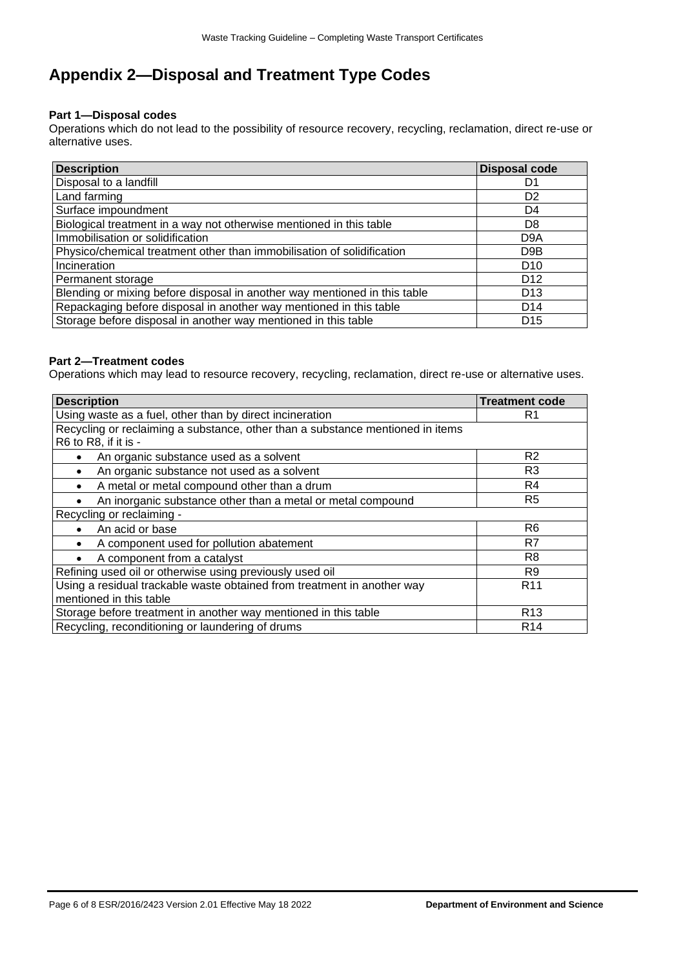## **Appendix 2—Disposal and Treatment Type Codes**

## **Part 1—Disposal codes**

Operations which do not lead to the possibility of resource recovery, recycling, reclamation, direct re-use or alternative uses.

| <b>Description</b>                                                        | <b>Disposal code</b> |
|---------------------------------------------------------------------------|----------------------|
| Disposal to a landfill                                                    | D1                   |
| Land farming                                                              | D <sub>2</sub>       |
| Surface impoundment                                                       | D4                   |
| Biological treatment in a way not otherwise mentioned in this table       | D <sub>8</sub>       |
| Immobilisation or solidification                                          | D <sub>9</sub> A     |
| Physico/chemical treatment other than immobilisation of solidification    | D <sub>9</sub> B     |
| Incineration                                                              | D <sub>10</sub>      |
| Permanent storage                                                         | D <sub>12</sub>      |
| Blending or mixing before disposal in another way mentioned in this table | D <sub>13</sub>      |
| Repackaging before disposal in another way mentioned in this table        | D <sub>14</sub>      |
| Storage before disposal in another way mentioned in this table            | D <sub>15</sub>      |

## **Part 2—Treatment codes**

Operations which may lead to resource recovery, recycling, reclamation, direct re-use or alternative uses.

| <b>Description</b>                                                                                     | <b>Treatment code</b> |  |
|--------------------------------------------------------------------------------------------------------|-----------------------|--|
| Using waste as a fuel, other than by direct incineration                                               | R1                    |  |
| Recycling or reclaiming a substance, other than a substance mentioned in items<br>R6 to R8, if it is - |                       |  |
| An organic substance used as a solvent                                                                 | R <sub>2</sub>        |  |
| An organic substance not used as a solvent                                                             | R <sub>3</sub>        |  |
| A metal or metal compound other than a drum                                                            | R4                    |  |
| An inorganic substance other than a metal or metal compound                                            | R <sub>5</sub>        |  |
| Recycling or reclaiming -                                                                              |                       |  |
| An acid or base                                                                                        | R <sub>6</sub>        |  |
| A component used for pollution abatement                                                               | R7                    |  |
| A component from a catalyst                                                                            | R <sub>8</sub>        |  |
| Refining used oil or otherwise using previously used oil                                               | R9                    |  |
| Using a residual trackable waste obtained from treatment in another way<br>R <sub>11</sub>             |                       |  |
| mentioned in this table                                                                                |                       |  |
| Storage before treatment in another way mentioned in this table                                        | R <sub>13</sub>       |  |
| Recycling, reconditioning or laundering of drums<br>R <sub>14</sub>                                    |                       |  |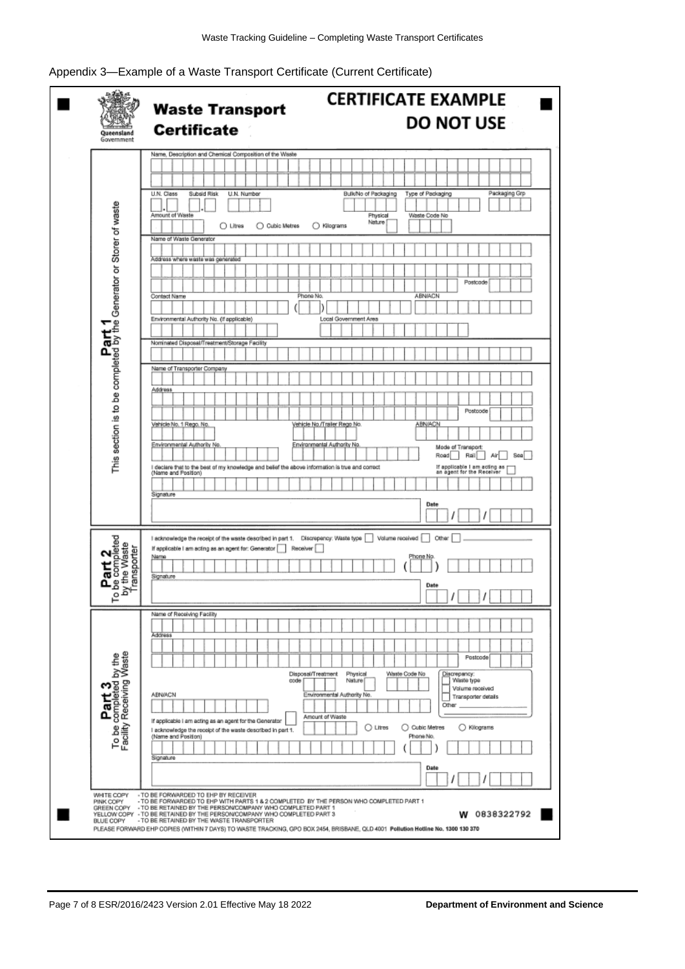